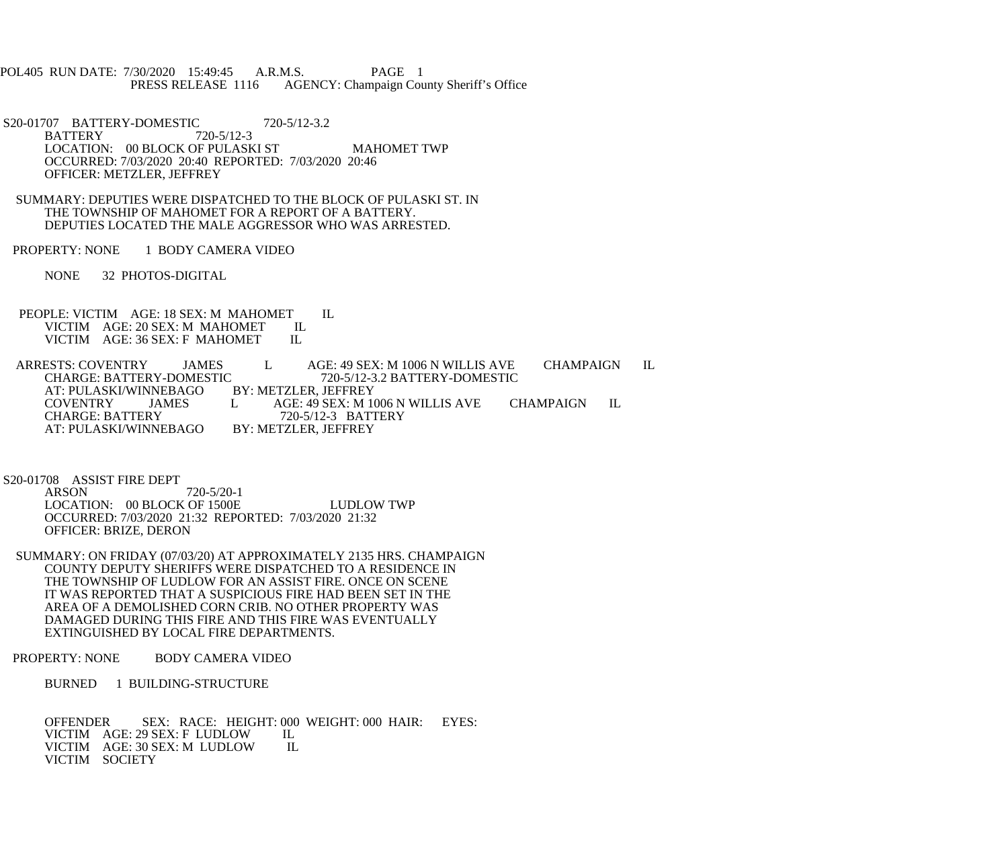- POL405 RUN DATE: 7/30/2020 15:49:45 A.R.M.S. PAGE 1 PRESS RELEASE 1116 AGENCY: Champaign County Sheriff's Office
- S20-01707 BATTERY-DOMESTIC 720-5/12-3.2<br>BATTERY 720-5/12-3 **BATTERY** LOCATION: 00 BLOCK OF PULASKI ST MAHOMET TWP OCCURRED: 7/03/2020 20:40 REPORTED: 7/03/2020 20:46 OFFICER: METZLER, JEFFREY
- SUMMARY: DEPUTIES WERE DISPATCHED TO THE BLOCK OF PULASKI ST. IN THE TOWNSHIP OF MAHOMET FOR A REPORT OF A BATTERY. DEPUTIES LOCATED THE MALE AGGRESSOR WHO WAS ARRESTED.
- PROPERTY: NONE 1 BODY CAMERA VIDEO

NONE 32 PHOTOS-DIGITAL

PEOPLE: VICTIM AGE: 18 SEX: M MAHOMET IL<br>VICTIM AGE: 20 SEX: M MAHOMET IL VICTIM AGE: 20 SEX: M MAHOMET IL<br>VICTIM AGE: 36 SEX: F MAHOMET IL VICTIM AGE: 36 SEX: F MAHOMET

ARRESTS: COVENTRY JAMES L AGE: 49 SEX: M 1006 N WILLIS AVE CHAMPAIGN IL<br>CHARGE: BATTERY-DOMESTIC 720-5/12-3.2 BATTERY-DOMESTIC The state of the S20-5/12-3.2 BATTERY-DOMESTIC BY: METZLER, JEFFREY AT: PULASKI/WINNEBAGO<br>COVENTRY JAMES COVENTRY JAMES L AGE: 49 SEX: M 1006 N WILLIS AVE CHAMPAIGN IL<br>CHARGE: BATTERY 720-5/12-3 BATTERY 720-5/12-3 BATTERY<br>BY: METZLER. JEFFREY AT: PULASKI/WINNEBAGO

S20-01708 ASSIST FIRE DEPT<br>ARSON

 $720 - 5/20 - 1$  LOCATION: 00 BLOCK OF 1500E LUDLOW TWP OCCURRED: 7/03/2020 21:32 REPORTED: 7/03/2020 21:32 OFFICER: BRIZE, DERON

 SUMMARY: ON FRIDAY (07/03/20) AT APPROXIMATELY 2135 HRS. CHAMPAIGN COUNTY DEPUTY SHERIFFS WERE DISPATCHED TO A RESIDENCE IN THE TOWNSHIP OF LUDLOW FOR AN ASSIST FIRE. ONCE ON SCENE IT WAS REPORTED THAT A SUSPICIOUS FIRE HAD BEEN SET IN THE AREA OF A DEMOLISHED CORN CRIB. NO OTHER PROPERTY WAS DAMAGED DURING THIS FIRE AND THIS FIRE WAS EVENTUALLY EXTINGUISHED BY LOCAL FIRE DEPARTMENTS.

## PROPERTY: NONE BODY CAMERA VIDEO

BURNED 1 BUILDING-STRUCTURE

OFFENDER SEX: RACE: HEIGHT: 000 WEIGHT: 000 HAIR: EYES:<br>VICTIM AGE: 29 SEX: F LUDLOW IL VICTIM AGE: 29 SEX: F LUDLOW IL<br>VICTIM AGE: 30 SEX: M LUDLOW IL VICTIM AGE: 30 SEX: M LUDLOW VICTIM SOCIETY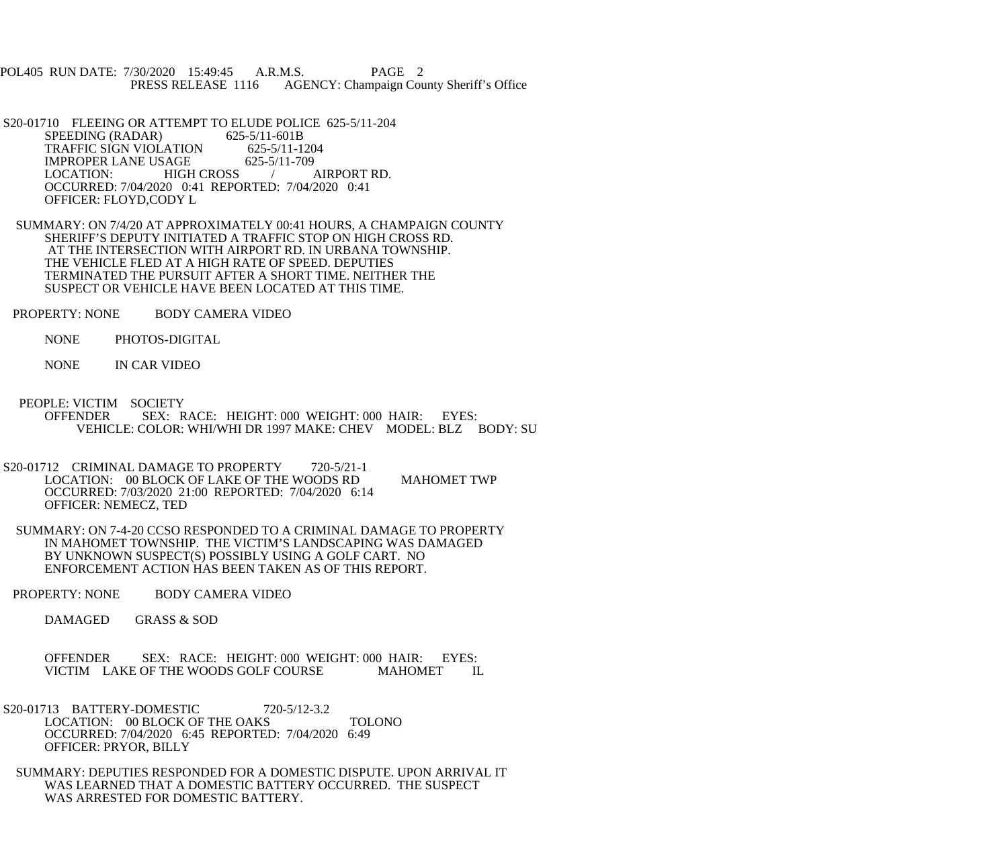POL405 RUN DATE: 7/30/2020 15:49:45 A.R.M.S. PAGE 2 PRESS RELEASE 1116 AGENCY: Champaign County Sheriff's Office

S20-01710 FLEEING OR ATTEMPT TO ELUDE POLICE 625-5/11-204<br>SPEEDING (RADAR) 625-5/11-601B SPEEDING (RADAR) TRAFFIC SIGN VIOLATION 625-5/11-1204<br>IMPROPER LANE USAGE 625-5/11-709 IMPROPER LANE USAGE 625-5/11-709<br>LOCATION: HIGH CROSS / AIRPORT RD. HIGH CROSS / OCCURRED: 7/04/2020 0:41 REPORTED: 7/04/2020 0:41 OFFICER: FLOYD,CODY L

 SUMMARY: ON 7/4/20 AT APPROXIMATELY 00:41 HOURS, A CHAMPAIGN COUNTY SHERIFF'S DEPUTY INITIATED A TRAFFIC STOP ON HIGH CROSS RD. AT THE INTERSECTION WITH AIRPORT RD. IN URBANA TOWNSHIP. THE VEHICLE FLED AT A HIGH RATE OF SPEED. DEPUTIES TERMINATED THE PURSUIT AFTER A SHORT TIME. NEITHER THE SUSPECT OR VEHICLE HAVE BEEN LOCATED AT THIS TIME.

PROPERTY: NONE BODY CAMERA VIDEO

NONE PHOTOS-DIGITAL

NONE IN CAR VIDEO

- PEOPLE: VICTIM SOCIETY OFFENDER SEX: RACE: HEIGHT: 000 WEIGHT: 000 HAIR: EYES: VEHICLE: COLOR: WHI/WHI DR 1997 MAKE: CHEV MODEL: BLZ BODY: SU
- S20-01712 CRIMINAL DAMAGE TO PROPERTY 720-5/21-1 LOCATION: 00 BLOCK OF LAKE OF THE WOODS RD MAHOMET TWP OCCURRED: 7/03/2020 21:00 REPORTED: 7/04/2020 6:14 OFFICER: NEMECZ, TED
	- SUMMARY: ON 7-4-20 CCSO RESPONDED TO A CRIMINAL DAMAGE TO PROPERTY IN MAHOMET TOWNSHIP. THE VICTIM'S LANDSCAPING WAS DAMAGED BY UNKNOWN SUSPECT(S) POSSIBLY USING A GOLF CART. NO ENFORCEMENT ACTION HAS BEEN TAKEN AS OF THIS REPORT.
- PROPERTY: NONE BODY CAMERA VIDEO

DAMAGED GRASS & SOD

OFFENDER SEX: RACE: HEIGHT: 000 WEIGHT: 000 HAIR: EYES: VICTIM LAKE OF THE WOODS GOLF COURSE MAHOMET I VICTIM LAKE OF THE WOODS GOLF COURSE MAHOMET IL

- S20-01713 BATTERY-DOMESTIC 720-5/12-3.2 LOCATION: 00 BLOCK OF THE OAKS TOLONO OCCURRED: 7/04/2020 6:45 REPORTED: 7/04/2020 6:49 OFFICER: PRYOR, BILLY
- SUMMARY: DEPUTIES RESPONDED FOR A DOMESTIC DISPUTE. UPON ARRIVAL IT WAS LEARNED THAT A DOMESTIC BATTERY OCCURRED. THE SUSPECT WAS ARRESTED FOR DOMESTIC BATTERY.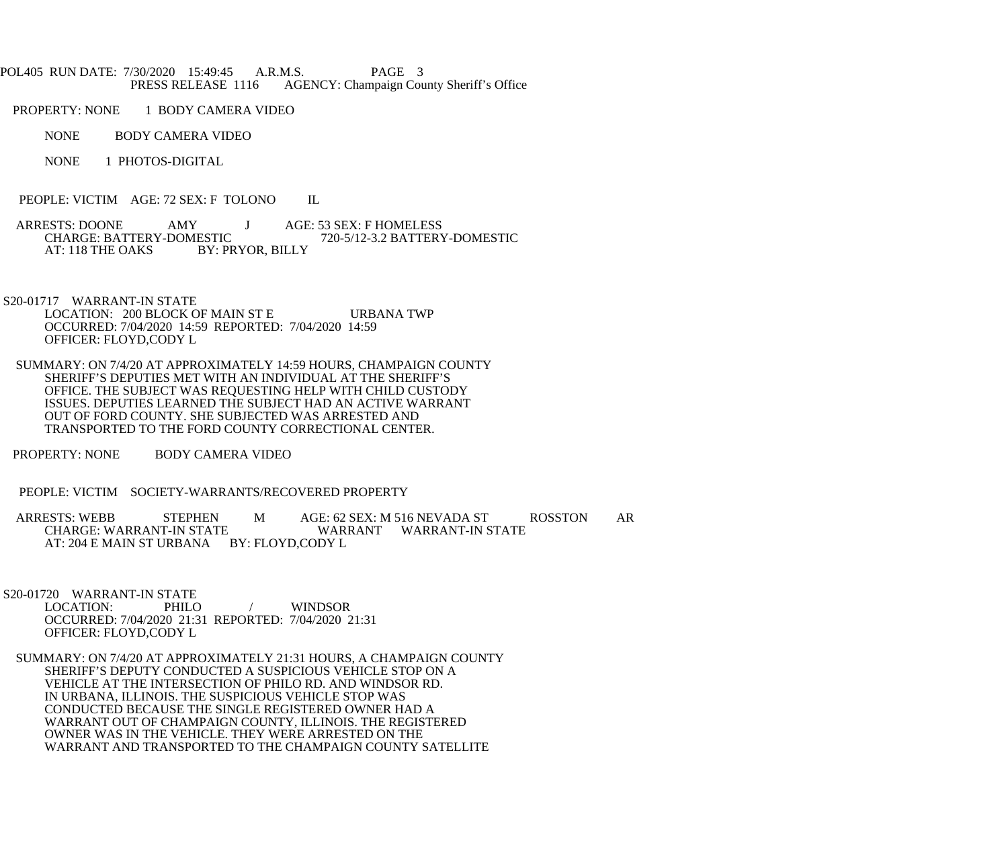## POL405 RUN DATE: 7/30/2020 15:49:45 A.R.M.S. PAGE 3<br>PRESS RELEASE 1116 AGENCY: Champaign Cou AGENCY: Champaign County Sheriff's Office

PROPERTY: NONE 1 BODY CAMERA VIDEO

- NONE BODY CAMERA VIDEO
- NONE 1 PHOTOS-DIGITAL
- PEOPLE: VICTIM AGE: 72 SEX: F TOLONO IL
- ARRESTS: DOONE AMY J AGE: 53 SEX: F HOMELESS<br>CHARGE: BATTERY-DOMESTIC 720-5/12-3.2 BATTERY ESTIC 720-5/12-3.2 BATTERY-DOMESTIC<br>BY: PRYOR, BILLY AT: 118 THE OAKS

S20-01717 WARRANT-IN STATE

- LOCATION: 200 BLOCK OF MAIN ST E URBANA TWP OCCURRED: 7/04/2020 14:59 REPORTED: 7/04/2020 14:59 OFFICER: FLOYD,CODY L
- SUMMARY: ON 7/4/20 AT APPROXIMATELY 14:59 HOURS, CHAMPAIGN COUNTY SHERIFF'S DEPUTIES MET WITH AN INDIVIDUAL AT THE SHERIFF'S OFFICE. THE SUBJECT WAS REQUESTING HELP WITH CHILD CUSTODY ISSUES. DEPUTIES LEARNED THE SUBJECT HAD AN ACTIVE WARRANT OUT OF FORD COUNTY. SHE SUBJECTED WAS ARRESTED AND TRANSPORTED TO THE FORD COUNTY CORRECTIONAL CENTER.
- PROPERTY: NONE BODY CAMERA VIDEO
- PEOPLE: VICTIM SOCIETY-WARRANTS/RECOVERED PROPERTY
- ARRESTS: WEBB STEPHEN M AGE: 62 SEX: M 516 NEVADA ST ROSSTON AR WARRANT WARRANT-IN STATE AT: 204 E MAIN ST URBANA BY: FLOYD, CODY L
- S20-01720 WARRANT-IN STATE<br>LOCATION: PHILO
	- LOCATION: PHILO / WINDSOR OCCURRED: 7/04/2020 21:31 REPORTED: 7/04/2020 21:31 OFFICER: FLOYD,CODY L
- SUMMARY: ON 7/4/20 AT APPROXIMATELY 21:31 HOURS, A CHAMPAIGN COUNTY SHERIFF'S DEPUTY CONDUCTED A SUSPICIOUS VEHICLE STOP ON A VEHICLE AT THE INTERSECTION OF PHILO RD. AND WINDSOR RD. IN URBANA, ILLINOIS. THE SUSPICIOUS VEHICLE STOP WAS CONDUCTED BECAUSE THE SINGLE REGISTERED OWNER HAD A WARRANT OUT OF CHAMPAIGN COUNTY, ILLINOIS. THE REGISTERED OWNER WAS IN THE VEHICLE. THEY WERE ARRESTED ON THE WARRANT AND TRANSPORTED TO THE CHAMPAIGN COUNTY SATELLITE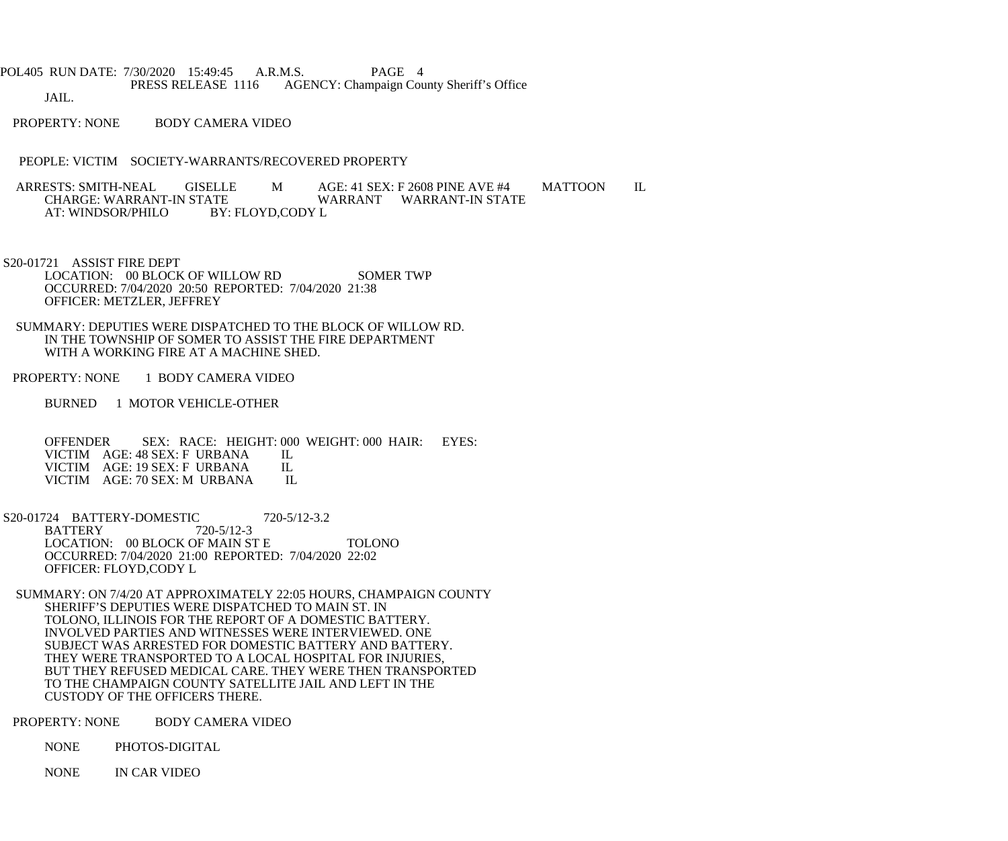POL405 RUN DATE: 7/30/2020 15:49:45 A.R.M.S. PAGE 4<br>PRESS RELEASE 1116 AGENCY: Champaign Cou AGENCY: Champaign County Sheriff's Office

JAIL.

PROPERTY: NONE BODY CAMERA VIDEO

PEOPLE: VICTIM SOCIETY-WARRANTS/RECOVERED PROPERTY

ARRESTS: SMITH-NEAL GISELLE M AGE: 41 SEX: F 2608 PINE AVE #4 MATTOON IL<br>CHARGE: WARRANT-IN STATE WARRANT WARRANT-IN STATE ATE WARRANT WARRANT-IN STATE<br>BY: FLOYD.CODY L AT: WINDSOR/PHILO

 S20-01721 ASSIST FIRE DEPT LOCATION: 00 BLOCK OF WILLOW RD SOMER TWP OCCURRED: 7/04/2020 20:50 REPORTED: 7/04/2020 21:38 OFFICER: METZLER, JEFFREY

 SUMMARY: DEPUTIES WERE DISPATCHED TO THE BLOCK OF WILLOW RD. IN THE TOWNSHIP OF SOMER TO ASSIST THE FIRE DEPARTMENT WITH A WORKING FIRE AT A MACHINE SHED.

PROPERTY: NONE 1 BODY CAMERA VIDEO

BURNED 1 MOTOR VEHICLE-OTHER

OFFENDER SEX: RACE: HEIGHT: 000 WEIGHT: 000 HAIR: EYES:<br>VICTIM AGE: 48 SEX: FURBANA IL VICTIM AGE: 48 SEX: F URBANA IL<br>VICTIM AGE: 19 SEX: F URBANA IL VICTIM AGE: 19 SEX: F URBANA IL<br>VICTIM AGE: 70 SEX: M URBANA IL VICTIM AGE: 70 SEX: M URBANA

S20-01724 BATTERY-DOMESTIC 720-5/12-3.2<br>BATTERY 720-5/12-3 BATTERY 720-5/12-3 LOCATION: 00 BLOCK OF MAIN ST E TOLONO OCCURRED: 7/04/2020 21:00 REPORTED: 7/04/2020 22:02 OFFICER: FLOYD,CODY L

 SUMMARY: ON 7/4/20 AT APPROXIMATELY 22:05 HOURS, CHAMPAIGN COUNTY SHERIFF'S DEPUTIES WERE DISPATCHED TO MAIN ST. IN TOLONO, ILLINOIS FOR THE REPORT OF A DOMESTIC BATTERY. INVOLVED PARTIES AND WITNESSES WERE INTERVIEWED. ONE SUBJECT WAS ARRESTED FOR DOMESTIC BATTERY AND BATTERY. THEY WERE TRANSPORTED TO A LOCAL HOSPITAL FOR INJURIES, BUT THEY REFUSED MEDICAL CARE. THEY WERE THEN TRANSPORTED TO THE CHAMPAIGN COUNTY SATELLITE JAIL AND LEFT IN THE CUSTODY OF THE OFFICERS THERE.

PROPERTY: NONE BODY CAMERA VIDEO

NONE PHOTOS-DIGITAL

NONE IN CAR VIDEO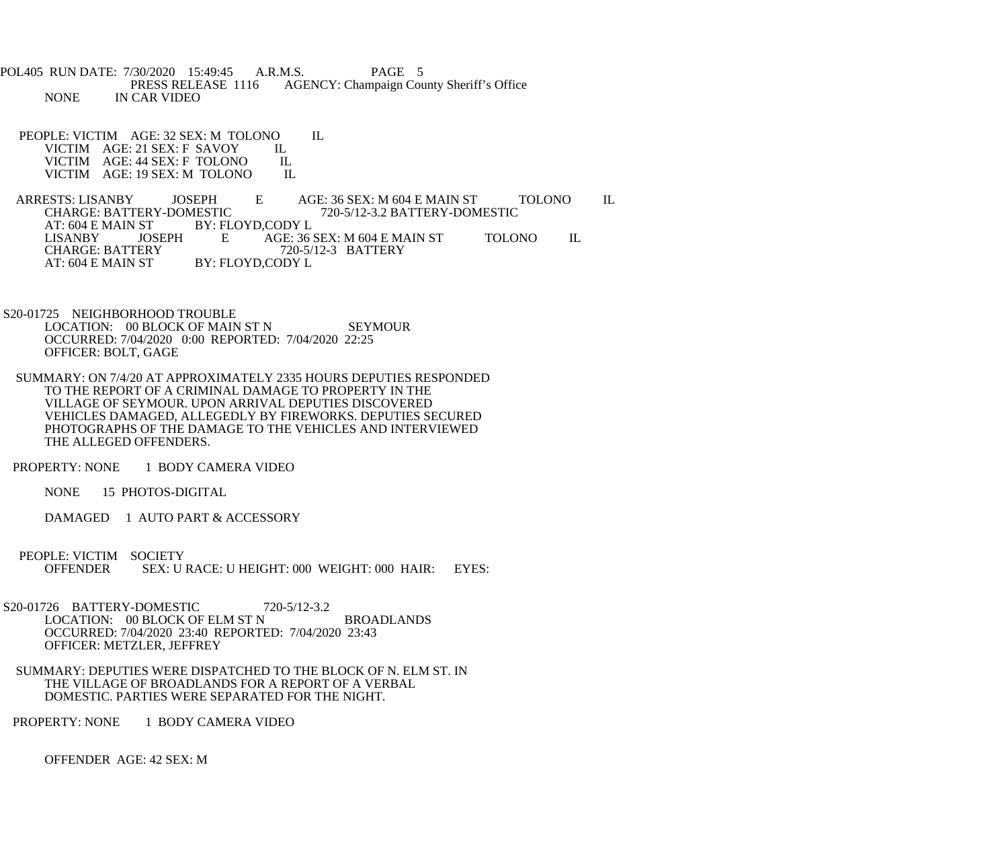POL405 RUN DATE: 7/30/2020 15:49:45 A.R.M.S. PAGE 5<br>PRESS RELEASE 1116 AGENCY: Champaign Cou AGENCY: Champaign County Sheriff's Office NONE IN CAR VIDEO

PEOPLE: VICTIM AGE: 32 SEX: M TOLONO IL<br>VICTIM AGE: 21 SEX: F SAVOY IL VICTIM AGE: 21 SEX: F SAVOY IL<br>VICTIM AGE: 44 SEX: F TOLONO IL VICTIM AGE: 44 SEX: F TOLONO IL<br>VICTIM AGE: 19 SEX: M TOLONO IL VICTIM AGE: 19 SEX: M TOLONO

ARRESTS: LISANBY JOSEPH E AGE: 36 SEX: M 604 E MAIN ST TOLONO IL<br>CHARGE: BATTERY-DOMESTIC 720-5/12-3.2 BATTERY-DOMESTIC CHARGE: BATTERY-DOMESTIC 720-5/12-3.2 BATTERY-DOMESTIC<br>AT: 604 E MAIN ST BY: FLOYD,CODY L ST BY: FLOYD,CODY L<br>JOSEPH E AGE: 36 LISANBY JOSEPH E AGE: 36 SEX: M 604 E MAIN ST TOLONO IL CHARGE: BATTERY 720-5/12-3 BATTERY CHARGE: BATTERY 720-5/12-3 BATTERY<br>AT: 604 E MAIN ST BY: FLOYD,CODY L BY: FLOYD,CODY L

 S20-01725 NEIGHBORHOOD TROUBLE LOCATION: 00 BLOCK OF MAIN ST N SEYMOUR OCCURRED: 7/04/2020 0:00 REPORTED: 7/04/2020 22:25 OFFICER: BOLT, GAGE

 SUMMARY: ON 7/4/20 AT APPROXIMATELY 2335 HOURS DEPUTIES RESPONDED TO THE REPORT OF A CRIMINAL DAMAGE TO PROPERTY IN THE VILLAGE OF SEYMOUR. UPON ARRIVAL DEPUTIES DISCOVERED VEHICLES DAMAGED, ALLEGEDLY BY FIREWORKS. DEPUTIES SECURED PHOTOGRAPHS OF THE DAMAGE TO THE VEHICLES AND INTERVIEWED THE ALLEGED OFFENDERS.

PROPERTY: NONE 1 BODY CAMERA VIDEO

NONE 15 PHOTOS-DIGITAL

DAMAGED 1 AUTO PART & ACCESSORY

 PEOPLE: VICTIM SOCIETY OFFENDER SEX: U RACE: U HEIGHT: 000 WEIGHT: 000 HAIR: EYES:

 S20-01726 BATTERY-DOMESTIC 720-5/12-3.2 LOCATION: 00 BLOCK OF ELM ST N BROADLANDS OCCURRED: 7/04/2020 23:40 REPORTED: 7/04/2020 23:43 OFFICER: METZLER, JEFFREY

 SUMMARY: DEPUTIES WERE DISPATCHED TO THE BLOCK OF N. ELM ST. IN THE VILLAGE OF BROADLANDS FOR A REPORT OF A VERBAL DOMESTIC. PARTIES WERE SEPARATED FOR THE NIGHT.

PROPERTY: NONE 1 BODY CAMERA VIDEO

OFFENDER AGE: 42 SEX: M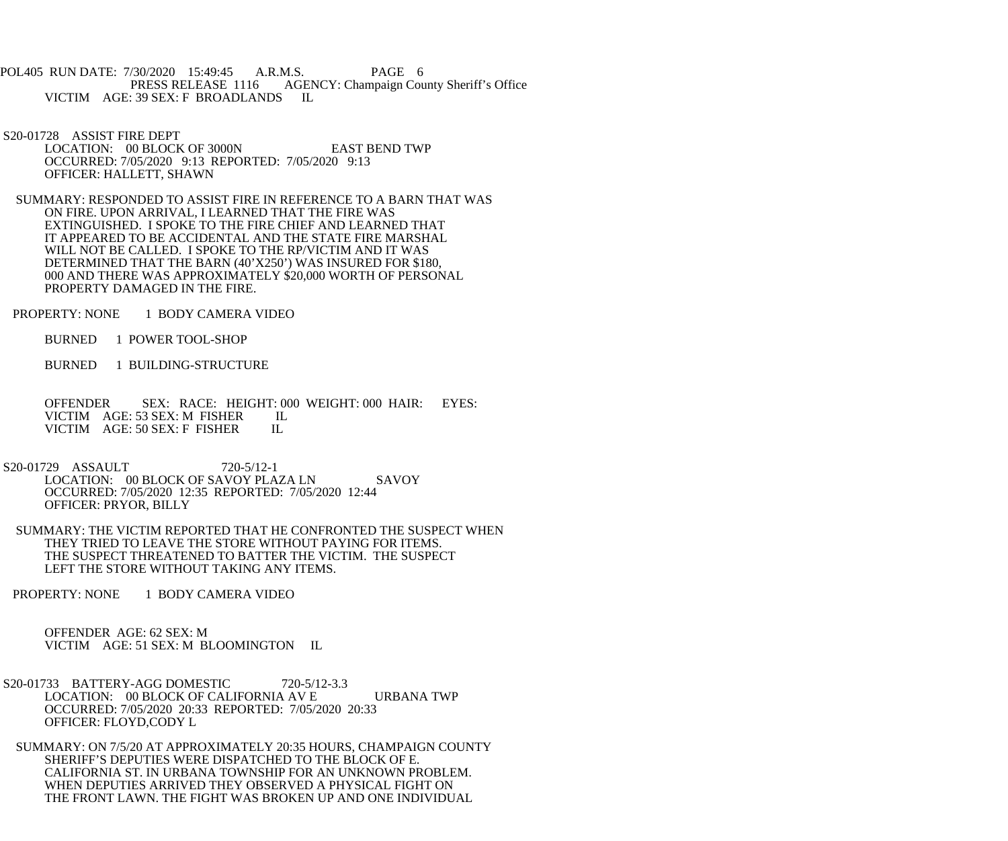POL405 RUN DATE: 7/30/2020 15:49:45 A.R.M.S. PAGE 6<br>PRESS RELEASE 1116 AGENCY: Champaign Cou AGENCY: Champaign County Sheriff's Office VICTIM AGE: 39 SEX: F BROADLANDS IL

 S20-01728 ASSIST FIRE DEPT LOCATION: 00 BLOCK OF 3000N EAST BEND TWP OCCURRED: 7/05/2020 9:13 REPORTED: 7/05/2020 9:13 OFFICER: HALLETT, SHAWN

 SUMMARY: RESPONDED TO ASSIST FIRE IN REFERENCE TO A BARN THAT WAS ON FIRE. UPON ARRIVAL, I LEARNED THAT THE FIRE WAS EXTINGUISHED. I SPOKE TO THE FIRE CHIEF AND LEARNED THAT IT APPEARED TO BE ACCIDENTAL AND THE STATE FIRE MARSHAL WILL NOT BE CALLED. I SPOKE TO THE RP/VICTIM AND IT WAS DETERMINED THAT THE BARN (40'X250') WAS INSURED FOR \$180, 000 AND THERE WAS APPROXIMATELY \$20,000 WORTH OF PERSONAL PROPERTY DAMAGED IN THE FIRE.

PROPERTY: NONE 1 BODY CAMERA VIDEO

BURNED 1 POWER TOOL-SHOP

BURNED 1 BUILDING-STRUCTURE

 OFFENDER SEX: RACE: HEIGHT: 000 WEIGHT: 000 HAIR: EYES: VICTIM AGE: 53 SEX: M FISHER IL VICTIM AGE: 50 SEX: F FISHER IL

S20-01729 ASSAULT 720-5/12-1 LOCATION: 00 BLOCK OF SAVOY PLAZA LN SAVOY OCCURRED: 7/05/2020 12:35 REPORTED: 7/05/2020 12:44 OFFICER: PRYOR, BILLY

 SUMMARY: THE VICTIM REPORTED THAT HE CONFRONTED THE SUSPECT WHEN THEY TRIED TO LEAVE THE STORE WITHOUT PAYING FOR ITEMS. THE SUSPECT THREATENED TO BATTER THE VICTIM. THE SUSPECT LEFT THE STORE WITHOUT TAKING ANY ITEMS.

PROPERTY: NONE 1 BODY CAMERA VIDEO

 OFFENDER AGE: 62 SEX: M VICTIM AGE: 51 SEX: M BLOOMINGTON IL

 S20-01733 BATTERY-AGG DOMESTIC 720-5/12-3.3 LOCATION: 00 BLOCK OF CALIFORNIA AV E URBANA TWP OCCURRED: 7/05/2020 20:33 REPORTED: 7/05/2020 20:33 OFFICER: FLOYD,CODY L

 SUMMARY: ON 7/5/20 AT APPROXIMATELY 20:35 HOURS, CHAMPAIGN COUNTY SHERIFF'S DEPUTIES WERE DISPATCHED TO THE BLOCK OF E. CALIFORNIA ST. IN URBANA TOWNSHIP FOR AN UNKNOWN PROBLEM. WHEN DEPUTIES ARRIVED THEY OBSERVED A PHYSICAL FIGHT ON THE FRONT LAWN. THE FIGHT WAS BROKEN UP AND ONE INDIVIDUAL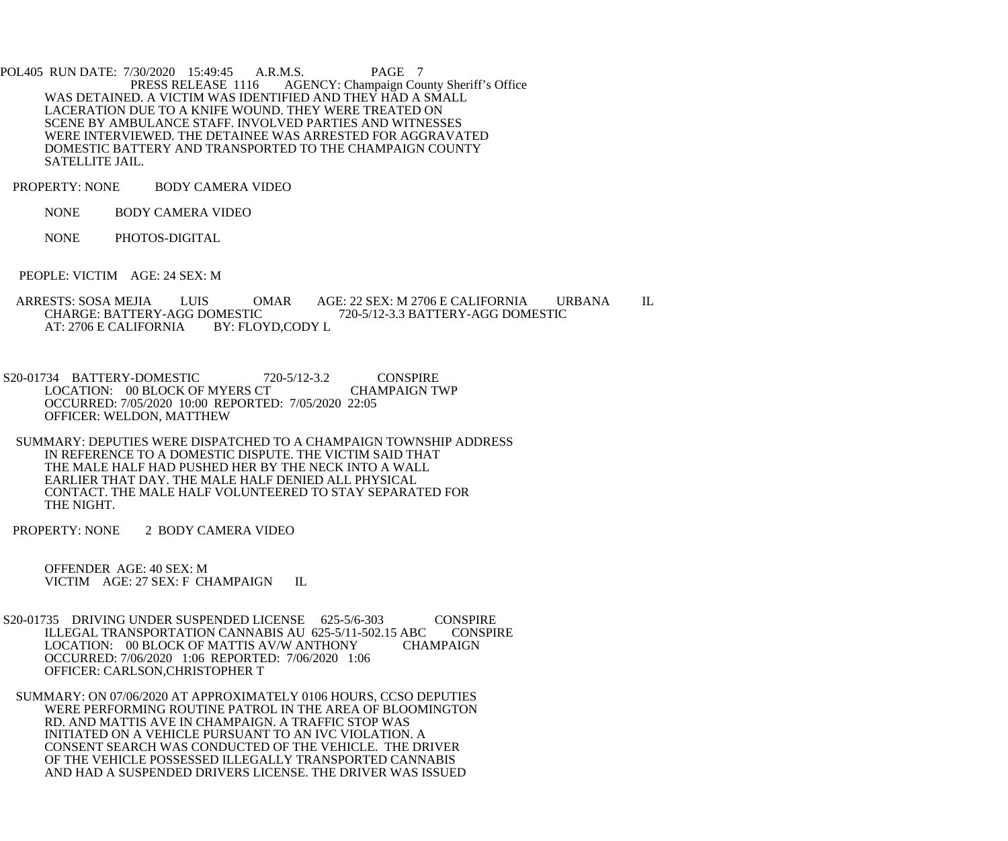POL405 RUN DATE: 7/30/2020 15:49:45 A.R.M.S. PAGE 7<br>PRESS RELEASE 1116 AGENCY: Champaign Cou AGENCY: Champaign County Sheriff's Office WAS DETAINED. A VICTIM WAS IDENTIFIED AND THEY HAD A SMALL LACERATION DUE TO A KNIFE WOUND. THEY WERE TREATED ON SCENE BY AMBULANCE STAFF. INVOLVED PARTIES AND WITNESSES WERE INTERVIEWED. THE DETAINEE WAS ARRESTED FOR AGGRAVATED DOMESTIC BATTERY AND TRANSPORTED TO THE CHAMPAIGN COUNTY SATELLITE JAIL.

PROPERTY: NONE BODY CAMERA VIDEO

NONE BODY CAMERA VIDEO

NONE PHOTOS-DIGITAL

PEOPLE: VICTIM AGE: 24 SEX: M

ARRESTS: SOSA MEJIA LUIS OMAR AGE: 22 SEX: M 2706 E CALIFORNIA URBANA IL CHARGE: BATTERY-AGG DOMESTIC 720-5/12-3.3 BATTERY-AGG DOMESTIC DMESTIC 720-5/12-3.3 BATTERY-AGG DOMESTIC<br>BY: FLOYD,CODY L AT: 2706 E CALIFORNIA

S20-01734 BATTERY-DOMESTIC 720-5/12-3.2 CONSPIRE<br>LOCATION: 00 BLOCK OF MYERS CT CHAMPAIGN TWP LOCATION: 00 BLOCK OF MYERS CT OCCURRED: 7/05/2020 10:00 REPORTED: 7/05/2020 22:05 OFFICER: WELDON, MATTHEW

 SUMMARY: DEPUTIES WERE DISPATCHED TO A CHAMPAIGN TOWNSHIP ADDRESS IN REFERENCE TO A DOMESTIC DISPUTE. THE VICTIM SAID THAT THE MALE HALF HAD PUSHED HER BY THE NECK INTO A WALL EARLIER THAT DAY. THE MALE HALF DENIED ALL PHYSICAL CONTACT. THE MALE HALF VOLUNTEERED TO STAY SEPARATED FOR THE NIGHT.

PROPERTY: NONE 2 BODY CAMERA VIDEO

 OFFENDER AGE: 40 SEX: M VICTIM AGE: 27 SEX: F CHAMPAIGN IL

S20-01735 DRIVING UNDER SUSPENDED LICENSE 625-5/6-303 CONSPIRE<br>ILLEGAL TRANSPORTATION CANNABIS AU 625-5/11-502.15 ABC CONSPIRE ILLEGAL TRANSPORTATION CANNABIS AU 625-5/11-502.15 ABC CON:<br>LOCATION: 00 BLOCK OF MATTIS AV/W ANTHONY CHAMPAIGN LOCATION: 00 BLOCK OF MATTIS AV/W ANTHONY OCCURRED: 7/06/2020 1:06 REPORTED: 7/06/2020 1:06 OFFICER: CARLSON,CHRISTOPHER T

 SUMMARY: ON 07/06/2020 AT APPROXIMATELY 0106 HOURS, CCSO DEPUTIES WERE PERFORMING ROUTINE PATROL IN THE AREA OF BLOOMINGTON RD. AND MATTIS AVE IN CHAMPAIGN. A TRAFFIC STOP WAS INITIATED ON A VEHICLE PURSUANT TO AN IVC VIOLATION. A CONSENT SEARCH WAS CONDUCTED OF THE VEHICLE. THE DRIVER OF THE VEHICLE POSSESSED ILLEGALLY TRANSPORTED CANNABIS AND HAD A SUSPENDED DRIVERS LICENSE. THE DRIVER WAS ISSUED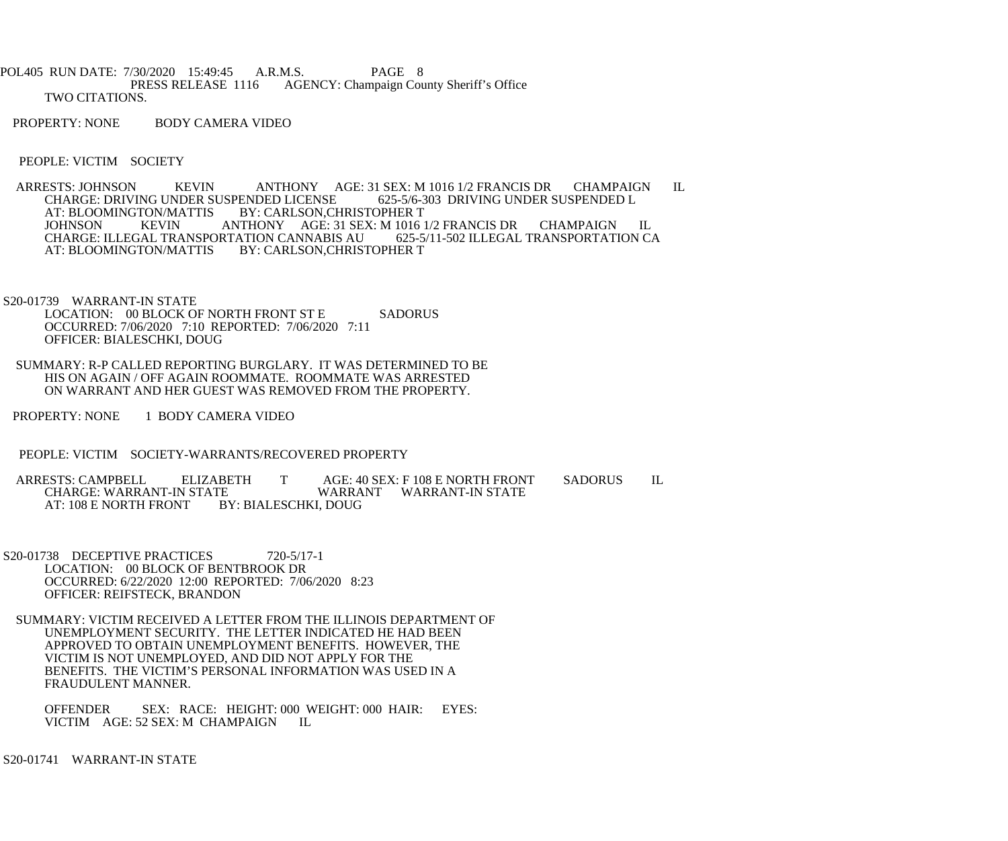- POL405 RUN DATE: 7/30/2020 15:49:45 A.R.M.S. PAGE 8<br>PRESS RELEASE 1116 AGENCY: Champaign Cou AGENCY: Champaign County Sheriff's Office TWO CITATIONS.
- PROPERTY: NONE BODY CAMERA VIDEO

PEOPLE: VICTIM SOCIETY

- ARRESTS: JOHNSON KEVIN ANTHONY AGE: 31 SEX: M 1016 1/2 FRANCIS DR CHAMPAIGN IL CHARGE: DRIVING UNDER SUSPENDED L CHARGE: DRIVING UNDER SUSPENDED LICENSE<br>AT: BLOOMINGTON/MATTIS BY: CARLSON.CE TON/MATTIS BY: CARLSON,CHRISTOPHER T<br>KEVIN ANTHONY AGE: 31 SEX: M 1016 JOHNSON KEVIN ANTHONY AGE: 31 SEX: M 1016 1/2 FRANCIS DR CHAMPAIGN IL CHARGE: ILLEGAL TRANSPORTATION CA CHARGE: ILLEGAL TRANSPORTATION CANNABIS AU<br>AT: BLOOMINGTON/MATTIS BY: CARLSON,CHRIST BY: CARLSON, CHRISTOPHER T
- S20-01739 WARRANT-IN STATE LOCATION: 00 BLOCK OF NORTH FRONT ST E SADORUS OCCURRED: 7/06/2020 7:10 REPORTED: 7/06/2020 7:11 OFFICER: BIALESCHKI, DOUG
- SUMMARY: R-P CALLED REPORTING BURGLARY. IT WAS DETERMINED TO BE HIS ON AGAIN / OFF AGAIN ROOMMATE. ROOMMATE WAS ARRESTED ON WARRANT AND HER GUEST WAS REMOVED FROM THE PROPERTY.
- PROPERTY: NONE 1 BODY CAMERA VIDEO
- PEOPLE: VICTIM SOCIETY-WARRANTS/RECOVERED PROPERTY
- ARRESTS: CAMPBELL ELIZABETH T AGE: 40 SEX: F 108 E NORTH FRONT SADORUS IL<br>CHARGE: WARRANT-IN STATE WARRANT WARRANT-IN STATE TE WARRANT WARRANT-IN STATE<br>BY: BIALESCHKI, DOUG AT: 108 E NORTH FRONT
- S20-01738 DECEPTIVE PRACTICES 720-5/17-1 LOCATION: 00 BLOCK OF BENTBROOK DR OCCURRED: 6/22/2020 12:00 REPORTED: 7/06/2020 8:23 OFFICER: REIFSTECK, BRANDON
- SUMMARY: VICTIM RECEIVED A LETTER FROM THE ILLINOIS DEPARTMENT OF UNEMPLOYMENT SECURITY. THE LETTER INDICATED HE HAD BEEN APPROVED TO OBTAIN UNEMPLOYMENT BENEFITS. HOWEVER, THE VICTIM IS NOT UNEMPLOYED, AND DID NOT APPLY FOR THE BENEFITS. THE VICTIM'S PERSONAL INFORMATION WAS USED IN A FRAUDULENT MANNER.
	- OFFENDER SEX: RACE: HEIGHT: 000 WEIGHT: 000 HAIR: EYES: VICTIM AGE: 52 SEX: M CHAMPAIGN IL

S20-01741 WARRANT-IN STATE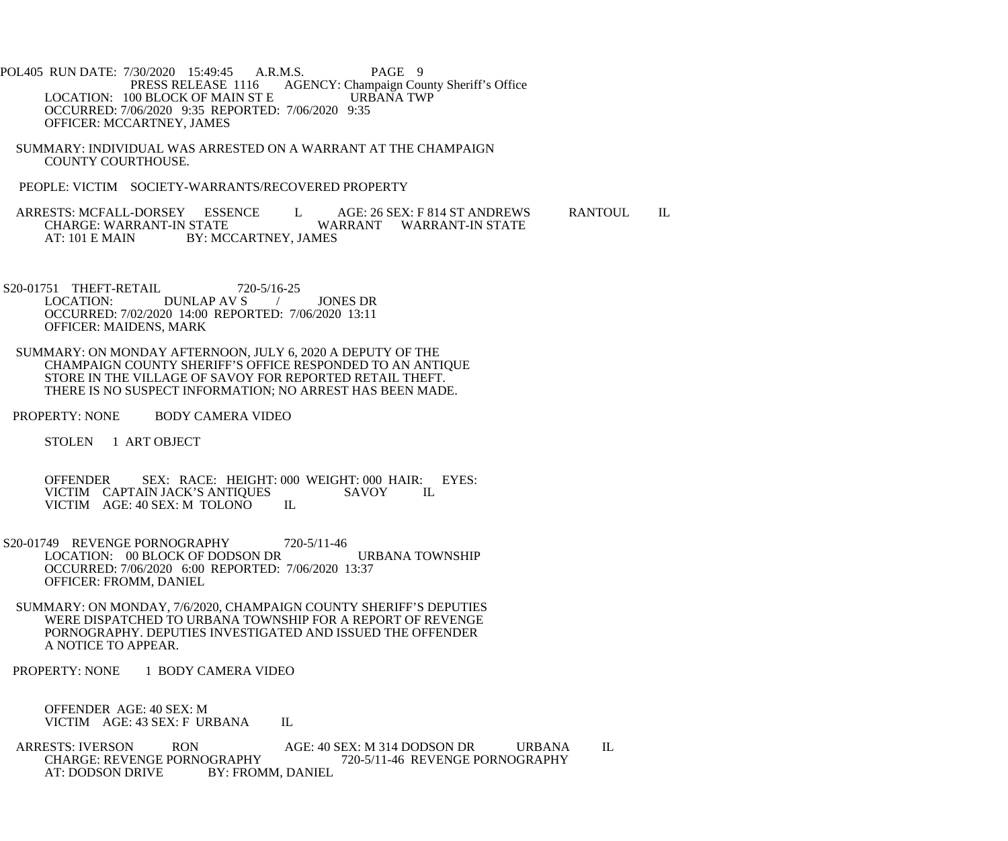- POL405 RUN DATE: 7/30/2020 15:49:45 A.R.M.S. PAGE 9<br>PRESS RELEASE 1116 AGENCY: Champaign Cou AGENCY: Champaign County Sheriff's Office<br>URBANA TWP LOCATION: 100 BLOCK OF MAIN ST E OCCURRED: 7/06/2020 9:35 REPORTED: 7/06/2020 9:35 OFFICER: MCCARTNEY, JAMES
- SUMMARY: INDIVIDUAL WAS ARRESTED ON A WARRANT AT THE CHAMPAIGN COUNTY COURTHOUSE.
- PEOPLE: VICTIM SOCIETY-WARRANTS/RECOVERED PROPERTY

ARRESTS: MCFALL-DORSEY ESSENCE L AGE: 26 SEX: F 814 ST ANDREWS RANTOUL IL<br>CHARGE: WARRANT-IN STATE WARRANT WARRANT-IN STATE WARRANT WARRANT-IN STATE AT: 101 E MAIN BY: MCCARTNEY, JAMES

S20-01751 THEFT-RETAIL 720-5/16-25<br>LOCATION: DUNLAP AV S DUNLAP AV S / JONES DR OCCURRED: 7/02/2020 14:00 REPORTED: 7/06/2020 13:11 OFFICER: MAIDENS, MARK

- SUMMARY: ON MONDAY AFTERNOON, JULY 6, 2020 A DEPUTY OF THE CHAMPAIGN COUNTY SHERIFF'S OFFICE RESPONDED TO AN ANTIQUE STORE IN THE VILLAGE OF SAVOY FOR REPORTED RETAIL THEFT. THERE IS NO SUSPECT INFORMATION; NO ARREST HAS BEEN MADE.
- PROPERTY: NONE BODY CAMERA VIDEO

STOLEN 1 ART OBJECT

OFFENDER SEX: RACE: HEIGHT: 000 WEIGHT: 000 HAIR: EYES:<br>VICTIM CAPTAIN JACK'S ANTIOUES SAVOY II. VICTIM CAPTAIN JACK'S ANTIOUES SAVOY VICTIM AGE: 40 SEX: M TOLONO IL

- S20-01749 REVENGE PORNOGRAPHY 720-5/11-46 LOCATION: 00 BLOCK OF DODSON DR URBANA TOWNSHIP OCCURRED: 7/06/2020 6:00 REPORTED: 7/06/2020 13:37 OFFICER: FROMM, DANIEL
- SUMMARY: ON MONDAY, 7/6/2020, CHAMPAIGN COUNTY SHERIFF'S DEPUTIES WERE DISPATCHED TO URBANA TOWNSHIP FOR A REPORT OF REVENGE PORNOGRAPHY. DEPUTIES INVESTIGATED AND ISSUED THE OFFENDER A NOTICE TO APPEAR.
- PROPERTY: NONE 1 BODY CAMERA VIDEO

 OFFENDER AGE: 40 SEX: M VICTIM AGE: 43 SEX: F URBANA IL

ARRESTS: IVERSON RON AGE: 40 SEX: M 314 DODSON DR URBANA IL<br>CHARGE: REVENGE PORNOGRAPHY 720-5/11-46 REVENGE PORNOGRAPHY CHARGE: REVENGE PORNOGRAPHY<br>AT: DODSON DRIVE BY: FROMM. DANIEL<br>BY: FROMM. DANIEL BY: FROMM, DANIEL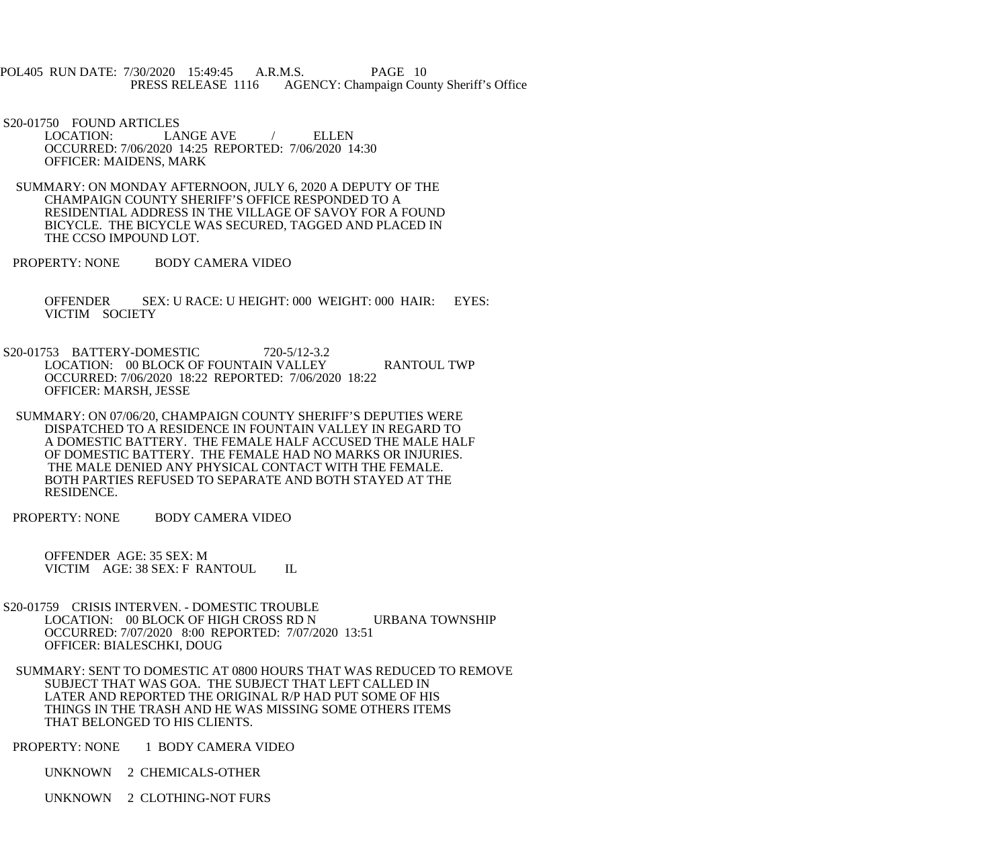POL405 RUN DATE: 7/30/2020 15:49:45 A.R.M.S. PAGE 10 PRESS RELEASE 1116 AGENCY: Champaign County Sheriff's Office

S20-01750 FOUND ARTICLES<br>LOCATION: LA

LANGE AVE / ELLEN OCCURRED: 7/06/2020 14:25 REPORTED: 7/06/2020 14:30 OFFICER: MAIDENS, MARK

- SUMMARY: ON MONDAY AFTERNOON, JULY 6, 2020 A DEPUTY OF THE CHAMPAIGN COUNTY SHERIFF'S OFFICE RESPONDED TO A RESIDENTIAL ADDRESS IN THE VILLAGE OF SAVOY FOR A FOUND BICYCLE. THE BICYCLE WAS SECURED, TAGGED AND PLACED IN THE CCSO IMPOUND LOT.
- PROPERTY: NONE BODY CAMERA VIDEO

 OFFENDER SEX: U RACE: U HEIGHT: 000 WEIGHT: 000 HAIR: EYES: VICTIM SOCIETY

- S20-01753 BATTERY-DOMESTIC 720-5/12-3.2 LOCATION: 00 BLOCK OF FOUNTAIN VALLEY RANTOUL TWP OCCURRED: 7/06/2020 18:22 REPORTED: 7/06/2020 18:22 OFFICER: MARSH, JESSE
- SUMMARY: ON 07/06/20, CHAMPAIGN COUNTY SHERIFF'S DEPUTIES WERE DISPATCHED TO A RESIDENCE IN FOUNTAIN VALLEY IN REGARD TO A DOMESTIC BATTERY. THE FEMALE HALF ACCUSED THE MALE HALF OF DOMESTIC BATTERY. THE FEMALE HAD NO MARKS OR INJURIES. THE MALE DENIED ANY PHYSICAL CONTACT WITH THE FEMALE. BOTH PARTIES REFUSED TO SEPARATE AND BOTH STAYED AT THE RESIDENCE.

PROPERTY: NONE BODY CAMERA VIDEO

 OFFENDER AGE: 35 SEX: M VICTIM AGE: 38 SEX: F RANTOUL IL

- S20-01759 CRISIS INTERVEN. DOMESTIC TROUBLE LOCATION: 00 BLOCK OF HIGH CROSS RD N URBANA TOWNSHIP OCCURRED: 7/07/2020 8:00 REPORTED: 7/07/2020 13:51 OFFICER: BIALESCHKI, DOUG
- SUMMARY: SENT TO DOMESTIC AT 0800 HOURS THAT WAS REDUCED TO REMOVE SUBJECT THAT WAS GOA. THE SUBJECT THAT LEFT CALLED IN LATER AND REPORTED THE ORIGINAL R/P HAD PUT SOME OF HIS THINGS IN THE TRASH AND HE WAS MISSING SOME OTHERS ITEMS THAT BELONGED TO HIS CLIENTS.

PROPERTY: NONE 1 BODY CAMERA VIDEO

UNKNOWN 2 CHEMICALS-OTHER

UNKNOWN 2 CLOTHING-NOT FURS